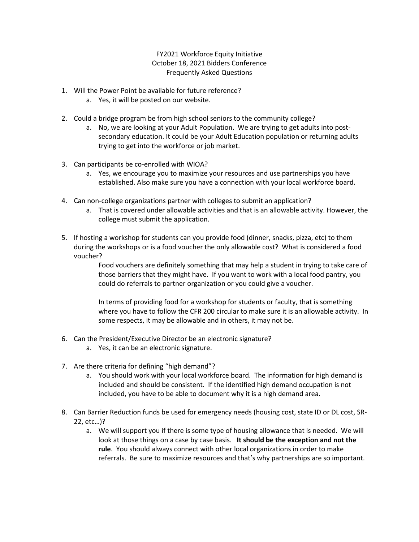FY2021 Workforce Equity Initiative October 18, 2021 Bidders Conference Frequently Asked Questions

- 1. Will the Power Point be available for future reference?
	- a. Yes, it will be posted on our website.
- 2. Could a bridge program be from high school seniors to the community college?
	- a. No, we are looking at your Adult Population. We are trying to get adults into postsecondary education. It could be your Adult Education population or returning adults trying to get into the workforce or job market.
- 3. Can participants be co-enrolled with WIOA?
	- a. Yes, we encourage you to maximize your resources and use partnerships you have established. Also make sure you have a connection with your local workforce board.
- 4. Can non-college organizations partner with colleges to submit an application?
	- a. That is covered under allowable activities and that is an allowable activity. However, the college must submit the application.
- 5. If hosting a workshop for students can you provide food (dinner, snacks, pizza, etc) to them during the workshops or is a food voucher the only allowable cost? What is considered a food voucher?

Food vouchers are definitely something that may help a student in trying to take care of those barriers that they might have. If you want to work with a local food pantry, you could do referrals to partner organization or you could give a voucher.

In terms of providing food for a workshop for students or faculty, that is something where you have to follow the CFR 200 circular to make sure it is an allowable activity. In some respects, it may be allowable and in others, it may not be.

- 6. Can the President/Executive Director be an electronic signature?
	- a. Yes, it can be an electronic signature.
- 7. Are there criteria for defining "high demand"?
	- a. You should work with your local workforce board. The information for high demand is included and should be consistent. If the identified high demand occupation is not included, you have to be able to document why it is a high demand area.
- 8. Can Barrier Reduction funds be used for emergency needs (housing cost, state ID or DL cost, SR-22, etc…)?
	- a. We will support you if there is some type of housing allowance that is needed. We will look at those things on a case by case basis. **It should be the exception and not the rule**. You should always connect with other local organizations in order to make referrals. Be sure to maximize resources and that's why partnerships are so important.